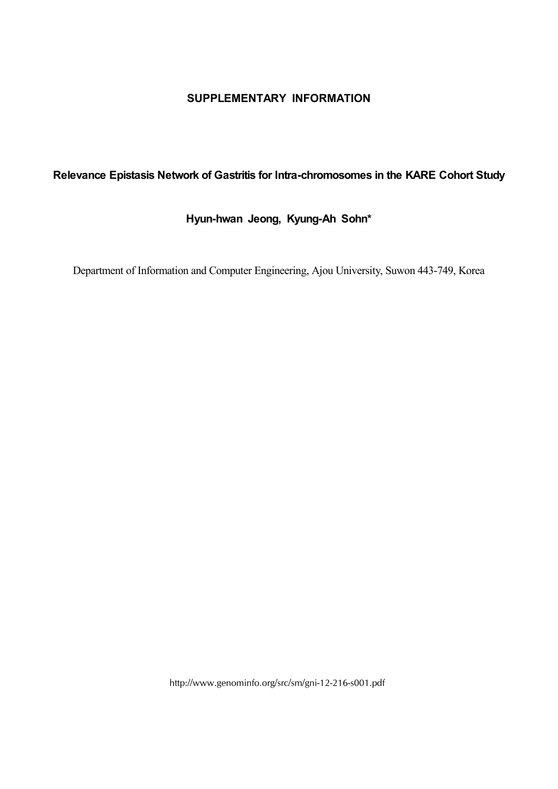## **SUPPLEMENTARY INFORMATION**

## **Relevance Epistasis Network of Gastritis for Intra-chromosomes in the KARE Cohort Study**

## **Hyun-hwan Jeong, Kyung-Ah Sohn\***

Department of Information and Computer Engineering, Ajou University, Suwon 443-749, Korea

http://www.genominfo.org/src/sm/gni-12-216-s001.pdf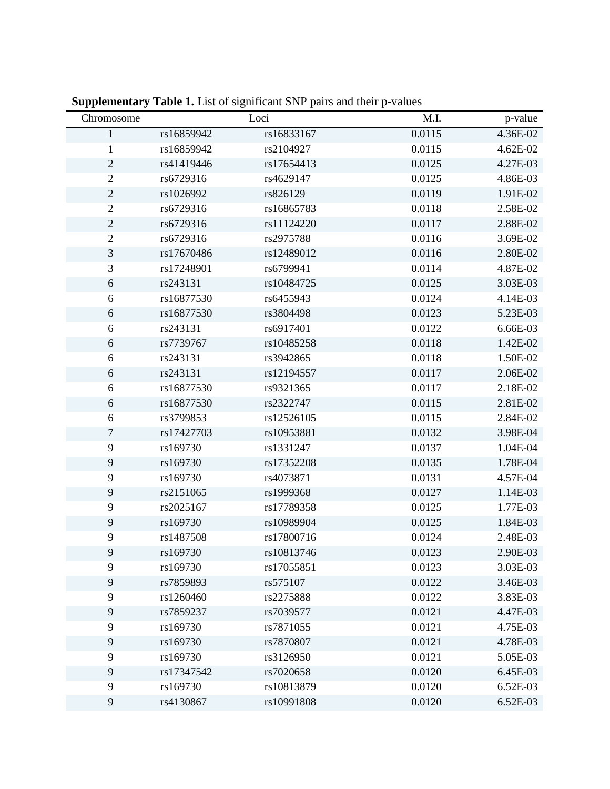| Chromosome     |            | Loci       | M.I.   | p-value  |
|----------------|------------|------------|--------|----------|
| $\mathbf{1}$   | rs16859942 | rs16833167 | 0.0115 | 4.36E-02 |
| $\mathbf{1}$   | rs16859942 | rs2104927  | 0.0115 | 4.62E-02 |
| $\sqrt{2}$     | rs41419446 | rs17654413 | 0.0125 | 4.27E-03 |
| $\mathbf{2}$   | rs6729316  | rs4629147  | 0.0125 | 4.86E-03 |
| $\sqrt{2}$     | rs1026992  | rs826129   | 0.0119 | 1.91E-02 |
| $\sqrt{2}$     | rs6729316  | rs16865783 | 0.0118 | 2.58E-02 |
| $\sqrt{2}$     | rs6729316  | rs11124220 | 0.0117 | 2.88E-02 |
| $\sqrt{2}$     | rs6729316  | rs2975788  | 0.0116 | 3.69E-02 |
| $\mathfrak{Z}$ | rs17670486 | rs12489012 | 0.0116 | 2.80E-02 |
| 3              | rs17248901 | rs6799941  | 0.0114 | 4.87E-02 |
| 6              | rs243131   | rs10484725 | 0.0125 | 3.03E-03 |
| 6              | rs16877530 | rs6455943  | 0.0124 | 4.14E-03 |
| 6              | rs16877530 | rs3804498  | 0.0123 | 5.23E-03 |
| 6              | rs243131   | rs6917401  | 0.0122 | 6.66E-03 |
| 6              | rs7739767  | rs10485258 | 0.0118 | 1.42E-02 |
| 6              | rs243131   | rs3942865  | 0.0118 | 1.50E-02 |
| 6              | rs243131   | rs12194557 | 0.0117 | 2.06E-02 |
| 6              | rs16877530 | rs9321365  | 0.0117 | 2.18E-02 |
| 6              | rs16877530 | rs2322747  | 0.0115 | 2.81E-02 |
| 6              | rs3799853  | rs12526105 | 0.0115 | 2.84E-02 |
| $\tau$         | rs17427703 | rs10953881 | 0.0132 | 3.98E-04 |
| 9              | rs169730   | rs1331247  | 0.0137 | 1.04E-04 |
| 9              | rs169730   | rs17352208 | 0.0135 | 1.78E-04 |
| 9              | rs169730   | rs4073871  | 0.0131 | 4.57E-04 |
| 9              | rs2151065  | rs1999368  | 0.0127 | 1.14E-03 |
| 9              | rs2025167  | rs17789358 | 0.0125 | 1.77E-03 |
| 9              | rs169730   | rs10989904 | 0.0125 | 1.84E-03 |
| 9              | rs1487508  | rs17800716 | 0.0124 | 2.48E-03 |
| 9              | rs169730   | rs10813746 | 0.0123 | 2.90E-03 |
| 9              | rs169730   | rs17055851 | 0.0123 | 3.03E-03 |
| 9              | rs7859893  | rs575107   | 0.0122 | 3.46E-03 |
| 9              | rs1260460  | rs2275888  | 0.0122 | 3.83E-03 |
| 9              | rs7859237  | rs7039577  | 0.0121 | 4.47E-03 |
| 9              | rs169730   | rs7871055  | 0.0121 | 4.75E-03 |
| 9              | rs169730   | rs7870807  | 0.0121 | 4.78E-03 |
| 9              | rs169730   | rs3126950  | 0.0121 | 5.05E-03 |
| 9              | rs17347542 | rs7020658  | 0.0120 | 6.45E-03 |
| 9              | rs169730   | rs10813879 | 0.0120 | 6.52E-03 |
| $\overline{9}$ | rs4130867  | rs10991808 | 0.0120 | 6.52E-03 |

**Supplementary Table 1.** List of significant SNP pairs and their p-values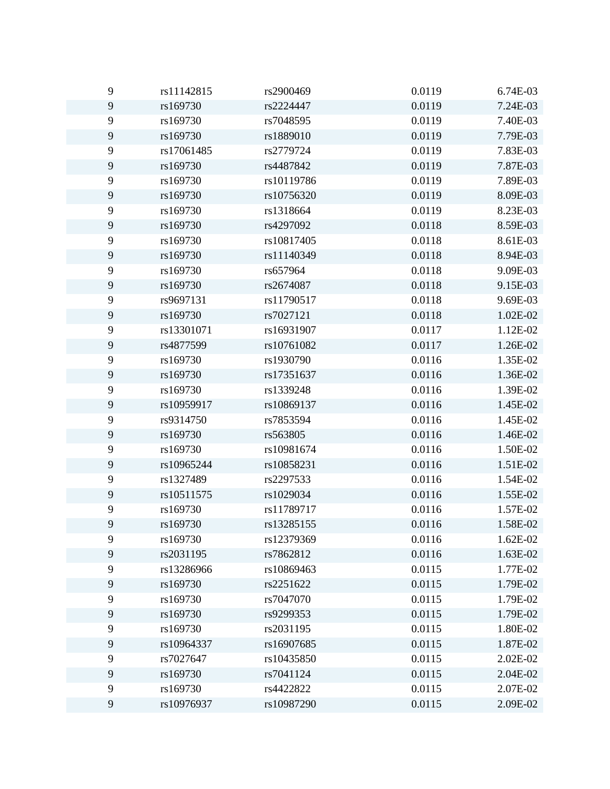| 9 | rs11142815 | rs2900469  | 0.0119 | 6.74E-03 |
|---|------------|------------|--------|----------|
| 9 | rs169730   | rs2224447  | 0.0119 | 7.24E-03 |
| 9 | rs169730   | rs7048595  | 0.0119 | 7.40E-03 |
| 9 | rs169730   | rs1889010  | 0.0119 | 7.79E-03 |
| 9 | rs17061485 | rs2779724  | 0.0119 | 7.83E-03 |
| 9 | rs169730   | rs4487842  | 0.0119 | 7.87E-03 |
| 9 | rs169730   | rs10119786 | 0.0119 | 7.89E-03 |
| 9 | rs169730   | rs10756320 | 0.0119 | 8.09E-03 |
| 9 | rs169730   | rs1318664  | 0.0119 | 8.23E-03 |
| 9 | rs169730   | rs4297092  | 0.0118 | 8.59E-03 |
| 9 | rs169730   | rs10817405 | 0.0118 | 8.61E-03 |
| 9 | rs169730   | rs11140349 | 0.0118 | 8.94E-03 |
| 9 | rs169730   | rs657964   | 0.0118 | 9.09E-03 |
| 9 | rs169730   | rs2674087  | 0.0118 | 9.15E-03 |
| 9 | rs9697131  | rs11790517 | 0.0118 | 9.69E-03 |
| 9 | rs169730   | rs7027121  | 0.0118 | 1.02E-02 |
| 9 | rs13301071 | rs16931907 | 0.0117 | 1.12E-02 |
| 9 | rs4877599  | rs10761082 | 0.0117 | 1.26E-02 |
| 9 | rs169730   | rs1930790  | 0.0116 | 1.35E-02 |
| 9 | rs169730   | rs17351637 | 0.0116 | 1.36E-02 |
| 9 | rs169730   | rs1339248  | 0.0116 | 1.39E-02 |
| 9 | rs10959917 | rs10869137 | 0.0116 | 1.45E-02 |
| 9 | rs9314750  | rs7853594  | 0.0116 | 1.45E-02 |
| 9 | rs169730   | rs563805   | 0.0116 | 1.46E-02 |
| 9 | rs169730   | rs10981674 | 0.0116 | 1.50E-02 |
| 9 | rs10965244 | rs10858231 | 0.0116 | 1.51E-02 |
| 9 | rs1327489  | rs2297533  | 0.0116 | 1.54E-02 |
| 9 | rs10511575 | rs1029034  | 0.0116 | 1.55E-02 |
| 9 | rs169730   | rs11789717 | 0.0116 | 1.57E-02 |
| 9 | rs169730   | rs13285155 | 0.0116 | 1.58E-02 |
| 9 | rs169730   | rs12379369 | 0.0116 | 1.62E-02 |
| 9 | rs2031195  | rs7862812  | 0.0116 | 1.63E-02 |
| 9 | rs13286966 | rs10869463 | 0.0115 | 1.77E-02 |
| 9 | rs169730   | rs2251622  | 0.0115 | 1.79E-02 |
| 9 | rs169730   | rs7047070  | 0.0115 | 1.79E-02 |
| 9 | rs169730   | rs9299353  | 0.0115 | 1.79E-02 |
| 9 | rs169730   | rs2031195  | 0.0115 | 1.80E-02 |
| 9 | rs10964337 | rs16907685 | 0.0115 | 1.87E-02 |
| 9 | rs7027647  | rs10435850 | 0.0115 | 2.02E-02 |
| 9 | rs169730   | rs7041124  | 0.0115 | 2.04E-02 |
| 9 | rs169730   | rs4422822  | 0.0115 | 2.07E-02 |
| 9 | rs10976937 | rs10987290 | 0.0115 | 2.09E-02 |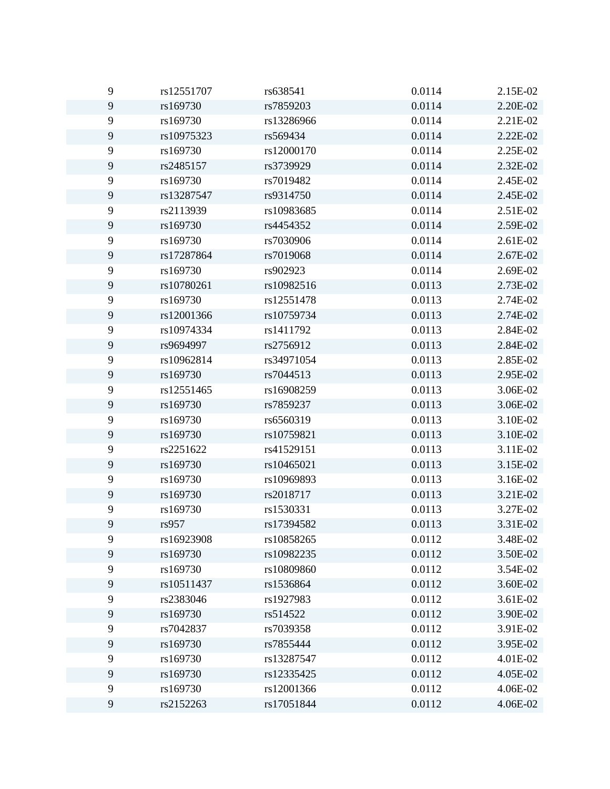| 9              | rs12551707 | rs638541   | 0.0114 | 2.15E-02 |
|----------------|------------|------------|--------|----------|
| 9              | rs169730   | rs7859203  | 0.0114 | 2.20E-02 |
| 9              | rs169730   | rs13286966 | 0.0114 | 2.21E-02 |
| $\mathbf{9}$   | rs10975323 | rs569434   | 0.0114 | 2.22E-02 |
| 9              | rs169730   | rs12000170 | 0.0114 | 2.25E-02 |
| 9              | rs2485157  | rs3739929  | 0.0114 | 2.32E-02 |
| $\mathbf{9}$   | rs169730   | rs7019482  | 0.0114 | 2.45E-02 |
| 9              | rs13287547 | rs9314750  | 0.0114 | 2.45E-02 |
| $\mathbf{9}$   | rs2113939  | rs10983685 | 0.0114 | 2.51E-02 |
| $\mathbf{9}$   | rs169730   | rs4454352  | 0.0114 | 2.59E-02 |
| 9              | rs169730   | rs7030906  | 0.0114 | 2.61E-02 |
| 9              | rs17287864 | rs7019068  | 0.0114 | 2.67E-02 |
| 9              | rs169730   | rs902923   | 0.0114 | 2.69E-02 |
| 9              | rs10780261 | rs10982516 | 0.0113 | 2.73E-02 |
| $\mathbf{9}$   | rs169730   | rs12551478 | 0.0113 | 2.74E-02 |
| 9              | rs12001366 | rs10759734 | 0.0113 | 2.74E-02 |
| $\mathbf{9}$   | rs10974334 | rs1411792  | 0.0113 | 2.84E-02 |
| 9              | rs9694997  | rs2756912  | 0.0113 | 2.84E-02 |
| $\mathbf{9}$   | rs10962814 | rs34971054 | 0.0113 | 2.85E-02 |
| 9              | rs169730   | rs7044513  | 0.0113 | 2.95E-02 |
| $\mathbf{9}$   | rs12551465 | rs16908259 | 0.0113 | 3.06E-02 |
| 9              | rs169730   | rs7859237  | 0.0113 | 3.06E-02 |
| $\mathbf{9}$   | rs169730   | rs6560319  | 0.0113 | 3.10E-02 |
| 9              | rs169730   | rs10759821 | 0.0113 | 3.10E-02 |
| $\mathbf{9}$   | rs2251622  | rs41529151 | 0.0113 | 3.11E-02 |
| 9              | rs169730   | rs10465021 | 0.0113 | 3.15E-02 |
| $\mathbf{9}$   | rs169730   | rs10969893 | 0.0113 | 3.16E-02 |
| 9              | rs169730   | rs2018717  | 0.0113 | 3.21E-02 |
| 9              | rs169730   | rs1530331  | 0.0113 | 3.27E-02 |
| 9              | rs957      | rs17394582 | 0.0113 | 3.31E-02 |
| 9              | rs16923908 | rs10858265 | 0.0112 | 3.48E-02 |
| $\mathbf{9}$   | rs169730   | rs10982235 | 0.0112 | 3.50E-02 |
| 9              | rs169730   | rs10809860 | 0.0112 | 3.54E-02 |
| $\mathbf{9}$   | rs10511437 | rs1536864  | 0.0112 | 3.60E-02 |
| 9              | rs2383046  | rs1927983  | 0.0112 | 3.61E-02 |
| $\mathbf{9}$   | rs169730   | rs514522   | 0.0112 | 3.90E-02 |
| 9              | rs7042837  | rs7039358  | 0.0112 | 3.91E-02 |
| $\mathbf{9}$   | rs169730   | rs7855444  | 0.0112 | 3.95E-02 |
| 9              | rs169730   | rs13287547 | 0.0112 | 4.01E-02 |
| $\overline{9}$ | rs169730   | rs12335425 | 0.0112 | 4.05E-02 |
| 9              | rs169730   | rs12001366 | 0.0112 | 4.06E-02 |
| $\mathbf{9}$   | rs2152263  | rs17051844 | 0.0112 | 4.06E-02 |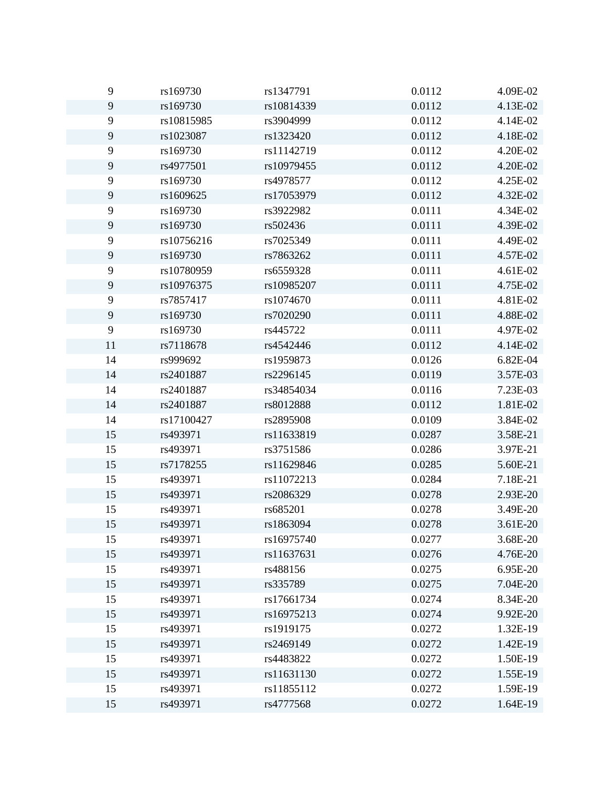| 9              | rs169730   | rs1347791  | 0.0112 | 4.09E-02 |
|----------------|------------|------------|--------|----------|
| 9              | rs169730   | rs10814339 | 0.0112 | 4.13E-02 |
| 9              | rs10815985 | rs3904999  | 0.0112 | 4.14E-02 |
| 9              | rs1023087  | rs1323420  | 0.0112 | 4.18E-02 |
| 9              | rs169730   | rs11142719 | 0.0112 | 4.20E-02 |
| 9              | rs4977501  | rs10979455 | 0.0112 | 4.20E-02 |
| 9              | rs169730   | rs4978577  | 0.0112 | 4.25E-02 |
| 9              | rs1609625  | rs17053979 | 0.0112 | 4.32E-02 |
| 9              | rs169730   | rs3922982  | 0.0111 | 4.34E-02 |
| 9              | rs169730   | rs502436   | 0.0111 | 4.39E-02 |
| $\mathbf{9}$   | rs10756216 | rs7025349  | 0.0111 | 4.49E-02 |
| $\overline{9}$ | rs169730   | rs7863262  | 0.0111 | 4.57E-02 |
| 9              | rs10780959 | rs6559328  | 0.0111 | 4.61E-02 |
| $\overline{9}$ | rs10976375 | rs10985207 | 0.0111 | 4.75E-02 |
| 9              | rs7857417  | rs1074670  | 0.0111 | 4.81E-02 |
| $\overline{9}$ | rs169730   | rs7020290  | 0.0111 | 4.88E-02 |
| 9              | rs169730   | rs445722   | 0.0111 | 4.97E-02 |
| 11             | rs7118678  | rs4542446  | 0.0112 | 4.14E-02 |
| 14             | rs999692   | rs1959873  | 0.0126 | 6.82E-04 |
| 14             | rs2401887  | rs2296145  | 0.0119 | 3.57E-03 |
| 14             | rs2401887  | rs34854034 | 0.0116 | 7.23E-03 |
| 14             | rs2401887  | rs8012888  | 0.0112 | 1.81E-02 |
| 14             | rs17100427 | rs2895908  | 0.0109 | 3.84E-02 |
| 15             | rs493971   | rs11633819 | 0.0287 | 3.58E-21 |
| 15             | rs493971   | rs3751586  | 0.0286 | 3.97E-21 |
| 15             | rs7178255  | rs11629846 | 0.0285 | 5.60E-21 |
| 15             | rs493971   | rs11072213 | 0.0284 | 7.18E-21 |
| 15             | rs493971   | rs2086329  | 0.0278 | 2.93E-20 |
| 15             | rs493971   | rs685201   | 0.0278 | 3.49E-20 |
| 15             | rs493971   | rs1863094  | 0.0278 | 3.61E-20 |
| 15             | rs493971   | rs16975740 | 0.0277 | 3.68E-20 |
| 15             | rs493971   | rs11637631 | 0.0276 | 4.76E-20 |
| 15             | rs493971   | rs488156   | 0.0275 | 6.95E-20 |
| 15             | rs493971   | rs335789   | 0.0275 | 7.04E-20 |
| 15             | rs493971   | rs17661734 | 0.0274 | 8.34E-20 |
| 15             | rs493971   | rs16975213 | 0.0274 | 9.92E-20 |
| 15             | rs493971   | rs1919175  | 0.0272 | 1.32E-19 |
| 15             | rs493971   | rs2469149  | 0.0272 | 1.42E-19 |
| 15             | rs493971   | rs4483822  | 0.0272 | 1.50E-19 |
| 15             | rs493971   | rs11631130 | 0.0272 | 1.55E-19 |
| 15             | rs493971   | rs11855112 | 0.0272 | 1.59E-19 |
| 15             | rs493971   | rs4777568  | 0.0272 | 1.64E-19 |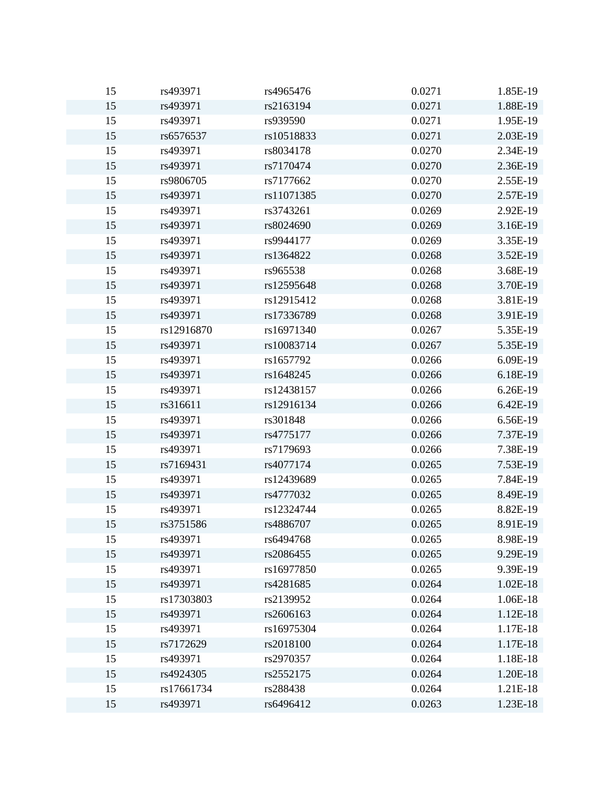| 15 | rs493971   | rs4965476  | 0.0271 | 1.85E-19 |
|----|------------|------------|--------|----------|
| 15 | rs493971   | rs2163194  | 0.0271 | 1.88E-19 |
| 15 | rs493971   | rs939590   | 0.0271 | 1.95E-19 |
| 15 | rs6576537  | rs10518833 | 0.0271 | 2.03E-19 |
| 15 | rs493971   | rs8034178  | 0.0270 | 2.34E-19 |
| 15 | rs493971   | rs7170474  | 0.0270 | 2.36E-19 |
| 15 | rs9806705  | rs7177662  | 0.0270 | 2.55E-19 |
| 15 | rs493971   | rs11071385 | 0.0270 | 2.57E-19 |
| 15 | rs493971   | rs3743261  | 0.0269 | 2.92E-19 |
| 15 | rs493971   | rs8024690  | 0.0269 | 3.16E-19 |
| 15 | rs493971   | rs9944177  | 0.0269 | 3.35E-19 |
| 15 | rs493971   | rs1364822  | 0.0268 | 3.52E-19 |
| 15 | rs493971   | rs965538   | 0.0268 | 3.68E-19 |
| 15 | rs493971   | rs12595648 | 0.0268 | 3.70E-19 |
| 15 | rs493971   | rs12915412 | 0.0268 | 3.81E-19 |
| 15 | rs493971   | rs17336789 | 0.0268 | 3.91E-19 |
| 15 | rs12916870 | rs16971340 | 0.0267 | 5.35E-19 |
| 15 | rs493971   | rs10083714 | 0.0267 | 5.35E-19 |
| 15 | rs493971   | rs1657792  | 0.0266 | 6.09E-19 |
| 15 | rs493971   | rs1648245  | 0.0266 | 6.18E-19 |
| 15 | rs493971   | rs12438157 | 0.0266 | 6.26E-19 |
| 15 | rs316611   | rs12916134 | 0.0266 | 6.42E-19 |
| 15 | rs493971   | rs301848   | 0.0266 | 6.56E-19 |
| 15 | rs493971   | rs4775177  | 0.0266 | 7.37E-19 |
| 15 | rs493971   | rs7179693  | 0.0266 | 7.38E-19 |
| 15 | rs7169431  | rs4077174  | 0.0265 | 7.53E-19 |
| 15 | rs493971   | rs12439689 | 0.0265 | 7.84E-19 |
| 15 | rs493971   | rs4777032  | 0.0265 | 8.49E-19 |
| 15 | rs493971   | rs12324744 | 0.0265 | 8.82E-19 |
| 15 | rs3751586  | rs4886707  | 0.0265 | 8.91E-19 |
| 15 | rs493971   | rs6494768  | 0.0265 | 8.98E-19 |
| 15 | rs493971   | rs2086455  | 0.0265 | 9.29E-19 |
| 15 | rs493971   | rs16977850 | 0.0265 | 9.39E-19 |
| 15 | rs493971   | rs4281685  | 0.0264 | 1.02E-18 |
| 15 | rs17303803 | rs2139952  | 0.0264 | 1.06E-18 |
| 15 | rs493971   | rs2606163  | 0.0264 | 1.12E-18 |
| 15 | rs493971   | rs16975304 | 0.0264 | 1.17E-18 |
| 15 | rs7172629  | rs2018100  | 0.0264 | 1.17E-18 |
| 15 | rs493971   | rs2970357  | 0.0264 | 1.18E-18 |
| 15 | rs4924305  | rs2552175  | 0.0264 | 1.20E-18 |
| 15 | rs17661734 | rs288438   | 0.0264 | 1.21E-18 |
| 15 | rs493971   | rs6496412  | 0.0263 | 1.23E-18 |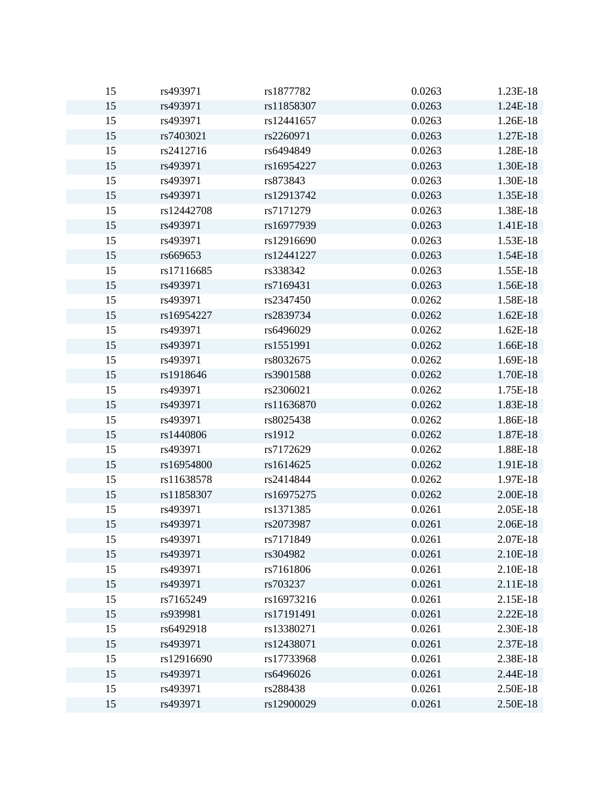| 15 | rs493971   | rs1877782  | 0.0263 | 1.23E-18 |
|----|------------|------------|--------|----------|
| 15 | rs493971   | rs11858307 | 0.0263 | 1.24E-18 |
| 15 | rs493971   | rs12441657 | 0.0263 | 1.26E-18 |
| 15 | rs7403021  | rs2260971  | 0.0263 | 1.27E-18 |
| 15 | rs2412716  | rs6494849  | 0.0263 | 1.28E-18 |
| 15 | rs493971   | rs16954227 | 0.0263 | 1.30E-18 |
| 15 | rs493971   | rs873843   | 0.0263 | 1.30E-18 |
| 15 | rs493971   | rs12913742 | 0.0263 | 1.35E-18 |
| 15 | rs12442708 | rs7171279  | 0.0263 | 1.38E-18 |
| 15 | rs493971   | rs16977939 | 0.0263 | 1.41E-18 |
| 15 | rs493971   | rs12916690 | 0.0263 | 1.53E-18 |
| 15 | rs669653   | rs12441227 | 0.0263 | 1.54E-18 |
| 15 | rs17116685 | rs338342   | 0.0263 | 1.55E-18 |
| 15 | rs493971   | rs7169431  | 0.0263 | 1.56E-18 |
| 15 | rs493971   | rs2347450  | 0.0262 | 1.58E-18 |
| 15 | rs16954227 | rs2839734  | 0.0262 | 1.62E-18 |
| 15 | rs493971   | rs6496029  | 0.0262 | 1.62E-18 |
| 15 | rs493971   | rs1551991  | 0.0262 | 1.66E-18 |
| 15 | rs493971   | rs8032675  | 0.0262 | 1.69E-18 |
| 15 | rs1918646  | rs3901588  | 0.0262 | 1.70E-18 |
| 15 | rs493971   | rs2306021  | 0.0262 | 1.75E-18 |
| 15 | rs493971   | rs11636870 | 0.0262 | 1.83E-18 |
| 15 | rs493971   | rs8025438  | 0.0262 | 1.86E-18 |
| 15 | rs1440806  | rs1912     | 0.0262 | 1.87E-18 |
| 15 | rs493971   | rs7172629  | 0.0262 | 1.88E-18 |
| 15 | rs16954800 | rs1614625  | 0.0262 | 1.91E-18 |
| 15 | rs11638578 | rs2414844  | 0.0262 | 1.97E-18 |
| 15 | rs11858307 | rs16975275 | 0.0262 | 2.00E-18 |
| 15 | rs493971   | rs1371385  | 0.0261 | 2.05E-18 |
| 15 | rs493971   | rs2073987  | 0.0261 | 2.06E-18 |
| 15 | rs493971   | rs7171849  | 0.0261 | 2.07E-18 |
| 15 | rs493971   | rs304982   | 0.0261 | 2.10E-18 |
| 15 | rs493971   | rs7161806  | 0.0261 | 2.10E-18 |
| 15 | rs493971   | rs703237   | 0.0261 | 2.11E-18 |
| 15 | rs7165249  | rs16973216 | 0.0261 | 2.15E-18 |
| 15 | rs939981   | rs17191491 | 0.0261 | 2.22E-18 |
| 15 | rs6492918  | rs13380271 | 0.0261 | 2.30E-18 |
| 15 | rs493971   | rs12438071 | 0.0261 | 2.37E-18 |
| 15 | rs12916690 | rs17733968 | 0.0261 | 2.38E-18 |
| 15 | rs493971   | rs6496026  | 0.0261 | 2.44E-18 |
| 15 | rs493971   | rs288438   | 0.0261 | 2.50E-18 |
| 15 | rs493971   | rs12900029 | 0.0261 | 2.50E-18 |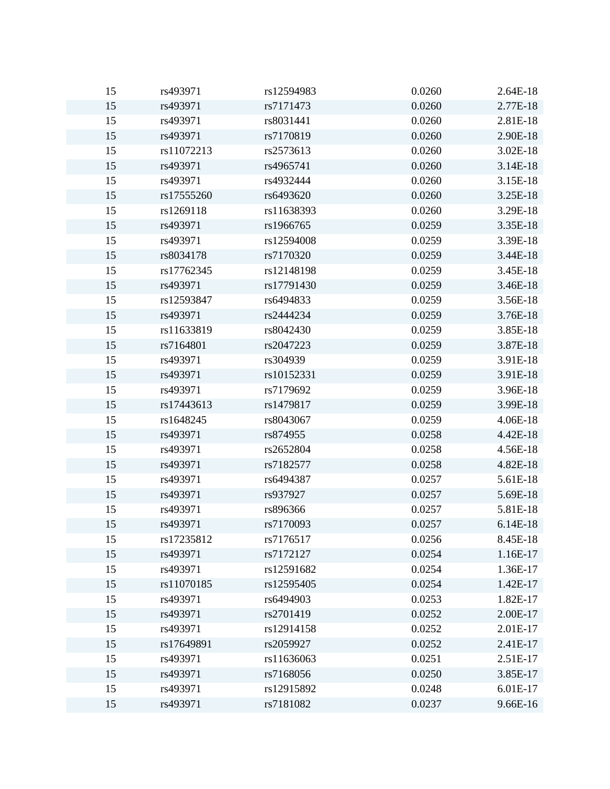| 15 | rs493971   | rs12594983 | 0.0260 | 2.64E-18 |
|----|------------|------------|--------|----------|
| 15 | rs493971   | rs7171473  | 0.0260 | 2.77E-18 |
| 15 | rs493971   | rs8031441  | 0.0260 | 2.81E-18 |
| 15 | rs493971   | rs7170819  | 0.0260 | 2.90E-18 |
| 15 | rs11072213 | rs2573613  | 0.0260 | 3.02E-18 |
| 15 | rs493971   | rs4965741  | 0.0260 | 3.14E-18 |
| 15 | rs493971   | rs4932444  | 0.0260 | 3.15E-18 |
| 15 | rs17555260 | rs6493620  | 0.0260 | 3.25E-18 |
| 15 | rs1269118  | rs11638393 | 0.0260 | 3.29E-18 |
| 15 | rs493971   | rs1966765  | 0.0259 | 3.35E-18 |
| 15 | rs493971   | rs12594008 | 0.0259 | 3.39E-18 |
| 15 | rs8034178  | rs7170320  | 0.0259 | 3.44E-18 |
| 15 | rs17762345 | rs12148198 | 0.0259 | 3.45E-18 |
| 15 | rs493971   | rs17791430 | 0.0259 | 3.46E-18 |
| 15 | rs12593847 | rs6494833  | 0.0259 | 3.56E-18 |
| 15 | rs493971   | rs2444234  | 0.0259 | 3.76E-18 |
| 15 | rs11633819 | rs8042430  | 0.0259 | 3.85E-18 |
| 15 | rs7164801  | rs2047223  | 0.0259 | 3.87E-18 |
| 15 | rs493971   | rs304939   | 0.0259 | 3.91E-18 |
| 15 | rs493971   | rs10152331 | 0.0259 | 3.91E-18 |
| 15 | rs493971   | rs7179692  | 0.0259 | 3.96E-18 |
| 15 | rs17443613 | rs1479817  | 0.0259 | 3.99E-18 |
| 15 | rs1648245  | rs8043067  | 0.0259 | 4.06E-18 |
| 15 | rs493971   | rs874955   | 0.0258 | 4.42E-18 |
| 15 | rs493971   | rs2652804  | 0.0258 | 4.56E-18 |
| 15 | rs493971   | rs7182577  | 0.0258 | 4.82E-18 |
| 15 | rs493971   | rs6494387  | 0.0257 | 5.61E-18 |
| 15 | rs493971   | rs937927   | 0.0257 | 5.69E-18 |
| 15 | rs493971   | rs896366   | 0.0257 | 5.81E-18 |
| 15 | rs493971   | rs7170093  | 0.0257 | 6.14E-18 |
| 15 | rs17235812 | rs7176517  | 0.0256 | 8.45E-18 |
| 15 | rs493971   | rs7172127  | 0.0254 | 1.16E-17 |
| 15 | rs493971   | rs12591682 | 0.0254 | 1.36E-17 |
| 15 | rs11070185 | rs12595405 | 0.0254 | 1.42E-17 |
| 15 | rs493971   | rs6494903  | 0.0253 | 1.82E-17 |
| 15 | rs493971   | rs2701419  | 0.0252 | 2.00E-17 |
| 15 | rs493971   | rs12914158 | 0.0252 | 2.01E-17 |
| 15 | rs17649891 | rs2059927  | 0.0252 | 2.41E-17 |
| 15 | rs493971   | rs11636063 | 0.0251 | 2.51E-17 |
| 15 | rs493971   | rs7168056  | 0.0250 | 3.85E-17 |
| 15 | rs493971   | rs12915892 | 0.0248 | 6.01E-17 |
| 15 | rs493971   | rs7181082  | 0.0237 | 9.66E-16 |